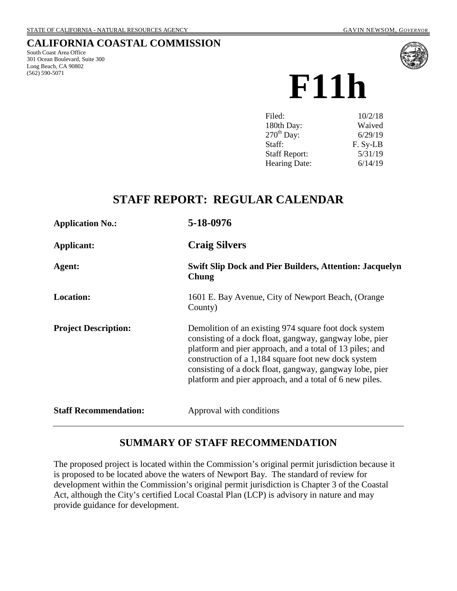### **CALIFORNIA COASTAL COMMISSION**

South Coast Area Office 301 Ocean Boulevard, Suite 300 Long Beach, CA 90802 (562) 590-5071



**F11h**

| Filed:               | 10/2/18  |
|----------------------|----------|
| 180th Day:           | Waived   |
| $270th$ Day:         | 6/29/19  |
| Staff:               | F. Sy-LB |
| <b>Staff Report:</b> | 5/31/19  |
| Hearing Date:        | 6/14/19  |

# **STAFF REPORT: REGULAR CALENDAR**

| <b>Application No.:</b>      | 5-18-0976                                                                                                                                                                                                                                                                                                                                                 |  |
|------------------------------|-----------------------------------------------------------------------------------------------------------------------------------------------------------------------------------------------------------------------------------------------------------------------------------------------------------------------------------------------------------|--|
| Applicant:                   | <b>Craig Silvers</b>                                                                                                                                                                                                                                                                                                                                      |  |
| Agent:                       | <b>Swift Slip Dock and Pier Builders, Attention: Jacquelyn</b><br>Chung                                                                                                                                                                                                                                                                                   |  |
| <b>Location:</b>             | 1601 E. Bay Avenue, City of Newport Beach, (Orange<br>County)                                                                                                                                                                                                                                                                                             |  |
| <b>Project Description:</b>  | Demolition of an existing 974 square foot dock system<br>consisting of a dock float, gangway, gangway lobe, pier<br>platform and pier approach, and a total of 13 piles; and<br>construction of a 1,184 square foot new dock system<br>consisting of a dock float, gangway, gangway lobe, pier<br>platform and pier approach, and a total of 6 new piles. |  |
| <b>Staff Recommendation:</b> | Approval with conditions                                                                                                                                                                                                                                                                                                                                  |  |

## **SUMMARY OF STAFF RECOMMENDATION**

The proposed project is located within the Commission's original permit jurisdiction because it is proposed to be located above the waters of Newport Bay. The standard of review for development within the Commission's original permit jurisdiction is Chapter 3 of the Coastal Act, although the City's certified Local Coastal Plan (LCP) is advisory in nature and may provide guidance for development.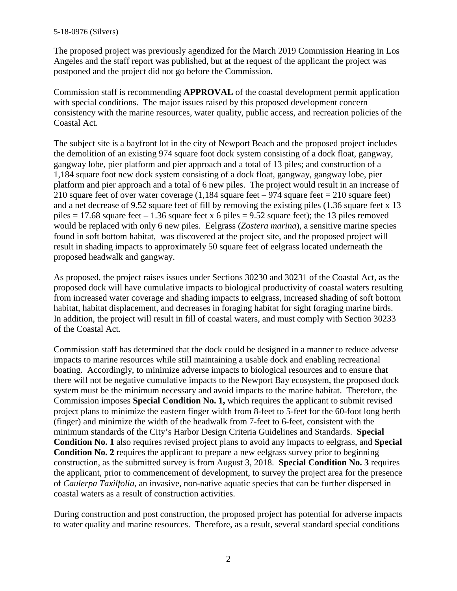The proposed project was previously agendized for the March 2019 Commission Hearing in Los Angeles and the staff report was published, but at the request of the applicant the project was postponed and the project did not go before the Commission.

Commission staff is recommending **APPROVAL** of the coastal development permit application with special conditions. The major issues raised by this proposed development concern consistency with the marine resources, water quality, public access, and recreation policies of the Coastal Act.

The subject site is a bayfront lot in the city of Newport Beach and the proposed project includes the demolition of an existing 974 square foot dock system consisting of a dock float, gangway, gangway lobe, pier platform and pier approach and a total of 13 piles; and construction of a 1,184 square foot new dock system consisting of a dock float, gangway, gangway lobe, pier platform and pier approach and a total of 6 new piles. The project would result in an increase of 210 square feet of over water coverage  $(1,184 \text{ square feet} - 974 \text{ square feet} = 210 \text{ square feet})$ and a net decrease of 9.52 square feet of fill by removing the existing piles (1.36 square feet x 13 piles  $= 17.68$  square feet  $- 1.36$  square feet x 6 piles  $= 9.52$  square feet); the 13 piles removed would be replaced with only 6 new piles. Eelgrass (*Zostera marina*), a sensitive marine species found in soft bottom habitat, was discovered at the project site, and the proposed project will result in shading impacts to approximately 50 square feet of eelgrass located underneath the proposed headwalk and gangway.

As proposed, the project raises issues under Sections 30230 and 30231 of the Coastal Act, as the proposed dock will have cumulative impacts to biological productivity of coastal waters resulting from increased water coverage and shading impacts to eelgrass, increased shading of soft bottom habitat, habitat displacement, and decreases in foraging habitat for sight foraging marine birds. In addition, the project will result in fill of coastal waters, and must comply with Section 30233 of the Coastal Act.

Commission staff has determined that the dock could be designed in a manner to reduce adverse impacts to marine resources while still maintaining a usable dock and enabling recreational boating. Accordingly, to minimize adverse impacts to biological resources and to ensure that there will not be negative cumulative impacts to the Newport Bay ecosystem, the proposed dock system must be the minimum necessary and avoid impacts to the marine habitat. Therefore, the Commission imposes **Special Condition No. 1,** which requires the applicant to submit revised project plans to minimize the eastern finger width from 8-feet to 5-feet for the 60-foot long berth (finger) and minimize the width of the headwalk from 7-feet to 6-feet, consistent with the minimum standards of the City's Harbor Design Criteria Guidelines and Standards. **Special Condition No. 1** also requires revised project plans to avoid any impacts to eelgrass, and **Special Condition No. 2** requires the applicant to prepare a new eelgrass survey prior to beginning construction, as the submitted survey is from August 3, 2018. **Special Condition No. 3** requires the applicant, prior to commencement of development, to survey the project area for the presence of *Caulerpa Taxilfolia*, an invasive, non-native aquatic species that can be further dispersed in coastal waters as a result of construction activities.

During construction and post construction, the proposed project has potential for adverse impacts to water quality and marine resources. Therefore, as a result, several standard special conditions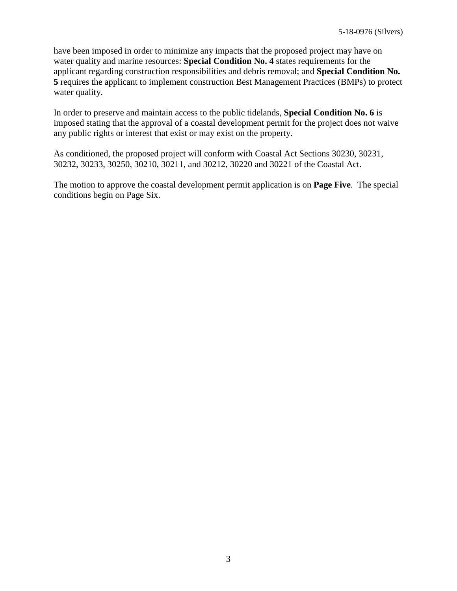have been imposed in order to minimize any impacts that the proposed project may have on water quality and marine resources: **Special Condition No. 4** states requirements for the applicant regarding construction responsibilities and debris removal; and **Special Condition No. 5** requires the applicant to implement construction Best Management Practices (BMPs) to protect water quality.

In order to preserve and maintain access to the public tidelands, **Special Condition No. 6** is imposed stating that the approval of a coastal development permit for the project does not waive any public rights or interest that exist or may exist on the property.

As conditioned, the proposed project will conform with Coastal Act Sections 30230, 30231, 30232, 30233, 30250, 30210, 30211, and 30212, 30220 and 30221 of the Coastal Act.

The motion to approve the coastal development permit application is on **Page Five**. The special conditions begin on Page Six.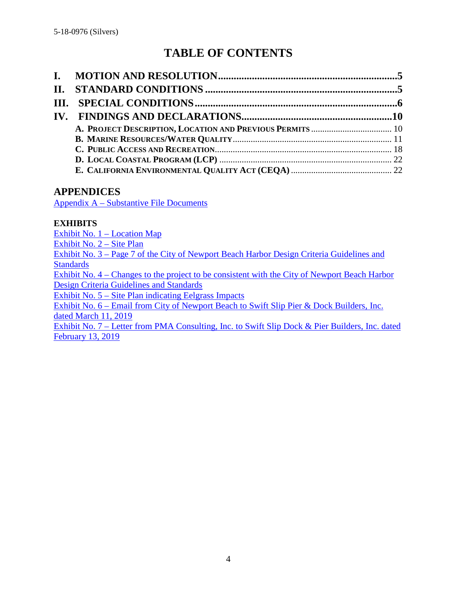# **TABLE OF CONTENTS**

### **APPENDICES**

Appendix A – [Substantive File Documents](#page-22-0)

#### **EXHIBITS**

[Exhibit No. 1 –](https://documents.coastal.ca.gov/reports/2019/6/F11h/F11h-6-2019-exhibits.pdf) Location Map [Exhibit No. 2](https://documents.coastal.ca.gov/reports/2019/6/F11h/F11h-6-2019-exhibits.pdf) – Site Plan Exhibit No. 3 – [Page 7 of the City of Newport Beach Harbor Design Criteria Guidelines and](https://documents.coastal.ca.gov/reports/2019/6/F11h/F11h-6-2019-exhibits.pdf)  **[Standards](https://documents.coastal.ca.gov/reports/2019/6/F11h/F11h-6-2019-exhibits.pdf)** Exhibit No. 4 – [Changes to the project to be consistent with the City of Newport Beach Harbor](https://documents.coastal.ca.gov/reports/2019/6/F11h/F11h-6-2019-exhibits.pdf)  [Design Criteria Guidelines and Standards](https://documents.coastal.ca.gov/reports/2019/6/F11h/F11h-6-2019-exhibits.pdf) Exhibit No. 5 – [Site Plan indicating Eelgrass Impacts](https://documents.coastal.ca.gov/reports/2019/6/F11h/F11h-6-2019-exhibits.pdf) Exhibit No. 6 – [Email from City of Newport Beach to Swift Slip Pier & Dock Builders, Inc.](https://documents.coastal.ca.gov/reports/2019/6/F11h/F11h-6-2019-exhibits.pdf)  [dated March 11, 2019](https://documents.coastal.ca.gov/reports/2019/6/F11h/F11h-6-2019-exhibits.pdf) Exhibit No. 7 – Letter from PMA Consulting, Inc. to Swift Slip Dock & Pier Builders, Inc. dated February 13, 2019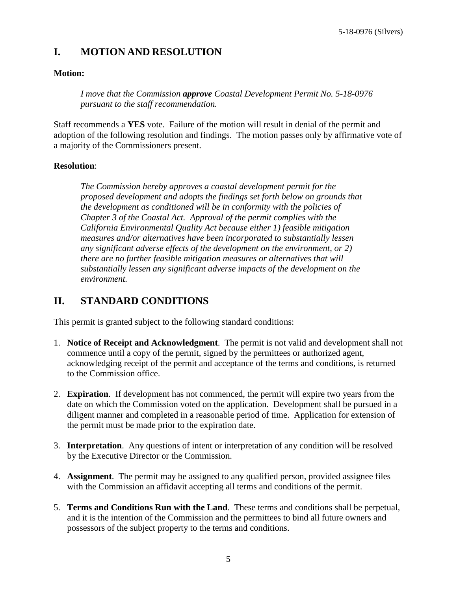## <span id="page-4-0"></span>**I. MOTION AND RESOLUTION**

#### **Motion:**

*I move that the Commission approve Coastal Development Permit No. 5-18-0976 pursuant to the staff recommendation.*

Staff recommends a **YES** vote. Failure of the motion will result in denial of the permit and adoption of the following resolution and findings. The motion passes only by affirmative vote of a majority of the Commissioners present.

#### **Resolution**:

*The Commission hereby approves a coastal development permit for the proposed development and adopts the findings set forth below on grounds that the development as conditioned will be in conformity with the policies of Chapter 3 of the Coastal Act. Approval of the permit complies with the California Environmental Quality Act because either 1) feasible mitigation measures and/or alternatives have been incorporated to substantially lessen any significant adverse effects of the development on the environment, or 2) there are no further feasible mitigation measures or alternatives that will substantially lessen any significant adverse impacts of the development on the environment.*

## <span id="page-4-1"></span>**II. STANDARD CONDITIONS**

This permit is granted subject to the following standard conditions:

- 1. **Notice of Receipt and Acknowledgment**. The permit is not valid and development shall not commence until a copy of the permit, signed by the permittees or authorized agent, acknowledging receipt of the permit and acceptance of the terms and conditions, is returned to the Commission office.
- 2. **Expiration**. If development has not commenced, the permit will expire two years from the date on which the Commission voted on the application. Development shall be pursued in a diligent manner and completed in a reasonable period of time. Application for extension of the permit must be made prior to the expiration date.
- 3. **Interpretation**. Any questions of intent or interpretation of any condition will be resolved by the Executive Director or the Commission.
- 4. **Assignment**. The permit may be assigned to any qualified person, provided assignee files with the Commission an affidavit accepting all terms and conditions of the permit.
- 5. **Terms and Conditions Run with the Land**. These terms and conditions shall be perpetual, and it is the intention of the Commission and the permittees to bind all future owners and possessors of the subject property to the terms and conditions.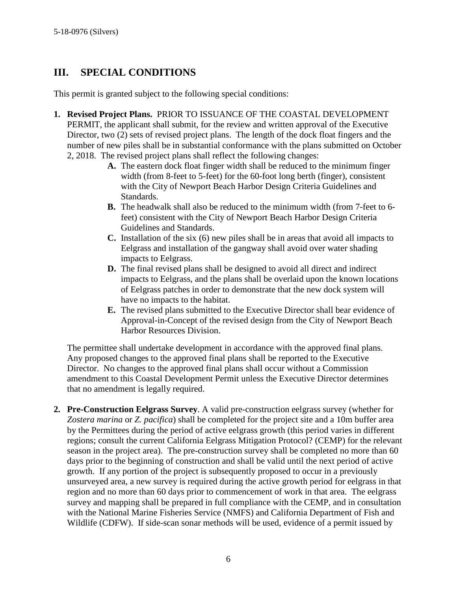## <span id="page-5-0"></span>**III. SPECIAL CONDITIONS**

This permit is granted subject to the following special conditions:

- **1. Revised Project Plans.** PRIOR TO ISSUANCE OF THE COASTAL DEVELOPMENT PERMIT, the applicant shall submit, for the review and written approval of the Executive Director, two (2) sets of revised project plans. The length of the dock float fingers and the number of new piles shall be in substantial conformance with the plans submitted on October 2, 2018. The revised project plans shall reflect the following changes:
	- **A.** The eastern dock float finger width shall be reduced to the minimum finger width (from 8-feet to 5-feet) for the 60-foot long berth (finger), consistent with the City of Newport Beach Harbor Design Criteria Guidelines and Standards.
	- **B.** The headwalk shall also be reduced to the minimum width (from 7-feet to 6 feet) consistent with the City of Newport Beach Harbor Design Criteria Guidelines and Standards.
	- **C.** Installation of the six (6) new piles shall be in areas that avoid all impacts to Eelgrass and installation of the gangway shall avoid over water shading impacts to Eelgrass.
	- **D.** The final revised plans shall be designed to avoid all direct and indirect impacts to Eelgrass, and the plans shall be overlaid upon the known locations of Eelgrass patches in order to demonstrate that the new dock system will have no impacts to the habitat.
	- **E.** The revised plans submitted to the Executive Director shall bear evidence of Approval-in-Concept of the revised design from the City of Newport Beach Harbor Resources Division.

The permittee shall undertake development in accordance with the approved final plans. Any proposed changes to the approved final plans shall be reported to the Executive Director. No changes to the approved final plans shall occur without a Commission amendment to this Coastal Development Permit unless the Executive Director determines that no amendment is legally required.

**2. Pre-Construction Eelgrass Survey**. A valid pre-construction eelgrass survey (whether for *Zostera marina* or *Z. pacifica*) shall be completed for the project site and a 10m buffer area by the Permittees during the period of active eelgrass growth (this period varies in different regions; consult the current California Eelgrass Mitigation Protocol? (CEMP) for the relevant season in the project area). The pre-construction survey shall be completed no more than 60 days prior to the beginning of construction and shall be valid until the next period of active growth. If any portion of the project is subsequently proposed to occur in a previously unsurveyed area, a new survey is required during the active growth period for eelgrass in that region and no more than 60 days prior to commencement of work in that area. The eelgrass survey and mapping shall be prepared in full compliance with the CEMP, and in consultation with the National Marine Fisheries Service (NMFS) and California Department of Fish and Wildlife (CDFW). If side-scan sonar methods will be used, evidence of a permit issued by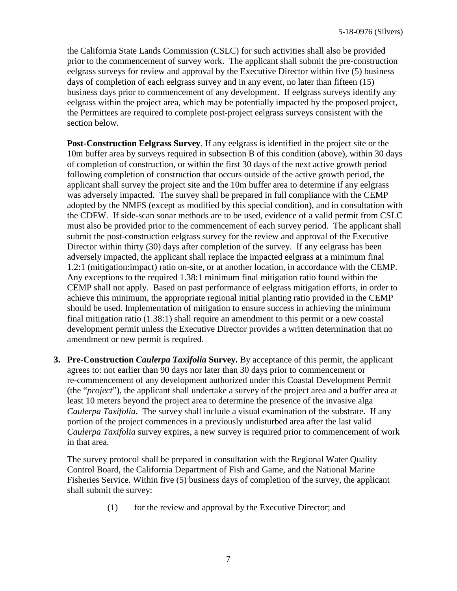the California State Lands Commission (CSLC) for such activities shall also be provided prior to the commencement of survey work. The applicant shall submit the pre-construction eelgrass surveys for review and approval by the Executive Director within five (5) business days of completion of each eelgrass survey and in any event, no later than fifteen (15) business days prior to commencement of any development. If eelgrass surveys identify any eelgrass within the project area, which may be potentially impacted by the proposed project, the Permittees are required to complete post-project eelgrass surveys consistent with the section below.

**Post-Construction Eelgrass Survey**. If any eelgrass is identified in the project site or the 10m buffer area by surveys required in subsection B of this condition (above), within 30 days of completion of construction, or within the first 30 days of the next active growth period following completion of construction that occurs outside of the active growth period, the applicant shall survey the project site and the 10m buffer area to determine if any eelgrass was adversely impacted. The survey shall be prepared in full compliance with the CEMP adopted by the NMFS (except as modified by this special condition), and in consultation with the CDFW. If side-scan sonar methods are to be used, evidence of a valid permit from CSLC must also be provided prior to the commencement of each survey period. The applicant shall submit the post-construction eelgrass survey for the review and approval of the Executive Director within thirty (30) days after completion of the survey. If any eelgrass has been adversely impacted, the applicant shall replace the impacted eelgrass at a minimum final 1.2:1 (mitigation:impact) ratio on-site, or at another location, in accordance with the CEMP. Any exceptions to the required 1.38:1 minimum final mitigation ratio found within the CEMP shall not apply. Based on past performance of eelgrass mitigation efforts, in order to achieve this minimum, the appropriate regional initial planting ratio provided in the CEMP should be used. Implementation of mitigation to ensure success in achieving the minimum final mitigation ratio (1.38:1) shall require an amendment to this permit or a new coastal development permit unless the Executive Director provides a written determination that no amendment or new permit is required.

**3. Pre-Construction** *Caulerpa Taxifolia* **Survey.** By acceptance of this permit, the applicant agrees to: not earlier than 90 days nor later than 30 days prior to commencement or re-commencement of any development authorized under this Coastal Development Permit (the "*project*"), the applicant shall undertake a survey of the project area and a buffer area at least 10 meters beyond the project area to determine the presence of the invasive alga *Caulerpa Taxifolia*. The survey shall include a visual examination of the substrate. If any portion of the project commences in a previously undisturbed area after the last valid *Caulerpa Taxifolia* survey expires, a new survey is required prior to commencement of work in that area.

The survey protocol shall be prepared in consultation with the Regional Water Quality Control Board, the California Department of Fish and Game, and the National Marine Fisheries Service. Within five (5) business days of completion of the survey, the applicant shall submit the survey:

(1) for the review and approval by the Executive Director; and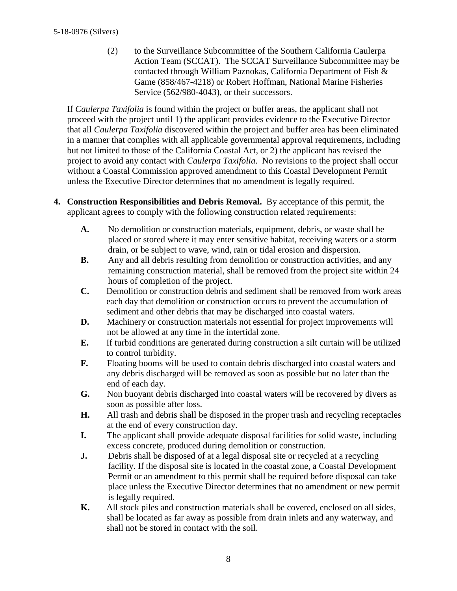(2) to the Surveillance Subcommittee of the Southern California Caulerpa Action Team (SCCAT). The SCCAT Surveillance Subcommittee may be contacted through William Paznokas, California Department of Fish & Game (858/467-4218) or Robert Hoffman, National Marine Fisheries Service (562/980-4043), or their successors.

If *Caulerpa Taxifolia* is found within the project or buffer areas, the applicant shall not proceed with the project until 1) the applicant provides evidence to the Executive Director that all *Caulerpa Taxifolia* discovered within the project and buffer area has been eliminated in a manner that complies with all applicable governmental approval requirements, including but not limited to those of the California Coastal Act, or 2) the applicant has revised the project to avoid any contact with *Caulerpa Taxifolia*. No revisions to the project shall occur without a Coastal Commission approved amendment to this Coastal Development Permit unless the Executive Director determines that no amendment is legally required.

- **4. Construction Responsibilities and Debris Removal.** By acceptance of this permit, the applicant agrees to comply with the following construction related requirements:
	- **A.** No demolition or construction materials, equipment, debris, or waste shall be placed or stored where it may enter sensitive habitat, receiving waters or a storm drain, or be subject to wave, wind, rain or tidal erosion and dispersion.
	- **B.** Any and all debris resulting from demolition or construction activities, and any remaining construction material, shall be removed from the project site within 24 hours of completion of the project.
	- **C.** Demolition or construction debris and sediment shall be removed from work areas each day that demolition or construction occurs to prevent the accumulation of sediment and other debris that may be discharged into coastal waters.
	- **D.** Machinery or construction materials not essential for project improvements will not be allowed at any time in the intertidal zone.
	- **E.** If turbid conditions are generated during construction a silt curtain will be utilized to control turbidity.
	- **F.** Floating booms will be used to contain debris discharged into coastal waters and any debris discharged will be removed as soon as possible but no later than the end of each day.
	- **G.** Non buoyant debris discharged into coastal waters will be recovered by divers as soon as possible after loss.
	- **H.** All trash and debris shall be disposed in the proper trash and recycling receptacles at the end of every construction day.
	- **I.** The applicant shall provide adequate disposal facilities for solid waste, including excess concrete, produced during demolition or construction.
	- **J.** Debris shall be disposed of at a legal disposal site or recycled at a recycling facility. If the disposal site is located in the coastal zone, a Coastal Development Permit or an amendment to this permit shall be required before disposal can take place unless the Executive Director determines that no amendment or new permit is legally required.
	- **K.** All stock piles and construction materials shall be covered, enclosed on all sides, shall be located as far away as possible from drain inlets and any waterway, and shall not be stored in contact with the soil.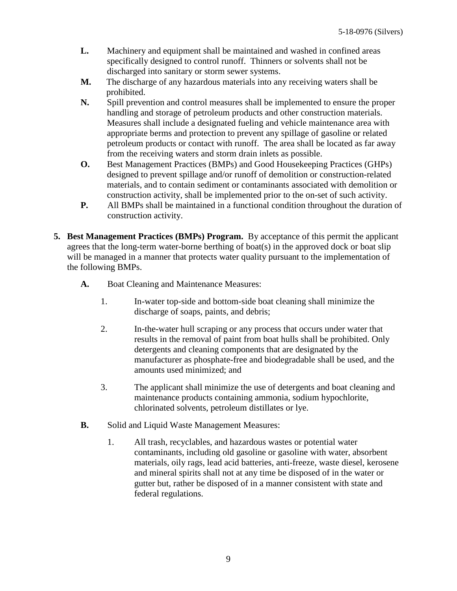- **L.** Machinery and equipment shall be maintained and washed in confined areas specifically designed to control runoff. Thinners or solvents shall not be discharged into sanitary or storm sewer systems.
- **M.** The discharge of any hazardous materials into any receiving waters shall be prohibited.
- **N.** Spill prevention and control measures shall be implemented to ensure the proper handling and storage of petroleum products and other construction materials. Measures shall include a designated fueling and vehicle maintenance area with appropriate berms and protection to prevent any spillage of gasoline or related petroleum products or contact with runoff. The area shall be located as far away from the receiving waters and storm drain inlets as possible.
- **O.** Best Management Practices (BMPs) and Good Housekeeping Practices (GHPs) designed to prevent spillage and/or runoff of demolition or construction-related materials, and to contain sediment or contaminants associated with demolition or construction activity, shall be implemented prior to the on-set of such activity.
- **P.** All BMPs shall be maintained in a functional condition throughout the duration of construction activity.
- **5. Best Management Practices (BMPs) Program.** By acceptance of this permit the applicant agrees that the long-term water-borne berthing of boat(s) in the approved dock or boat slip will be managed in a manner that protects water quality pursuant to the implementation of the following BMPs.
	- **A.** Boat Cleaning and Maintenance Measures:
		- 1. In-water top-side and bottom-side boat cleaning shall minimize the discharge of soaps, paints, and debris;
		- 2. In-the-water hull scraping or any process that occurs under water that results in the removal of paint from boat hulls shall be prohibited. Only detergents and cleaning components that are designated by the manufacturer as phosphate-free and biodegradable shall be used, and the amounts used minimized; and
		- 3. The applicant shall minimize the use of detergents and boat cleaning and maintenance products containing ammonia, sodium hypochlorite, chlorinated solvents, petroleum distillates or lye.
	- **B.** Solid and Liquid Waste Management Measures:
		- 1. All trash, recyclables, and hazardous wastes or potential water contaminants, including old gasoline or gasoline with water, absorbent materials, oily rags, lead acid batteries, anti-freeze, waste diesel, kerosene and mineral spirits shall not at any time be disposed of in the water or gutter but, rather be disposed of in a manner consistent with state and federal regulations.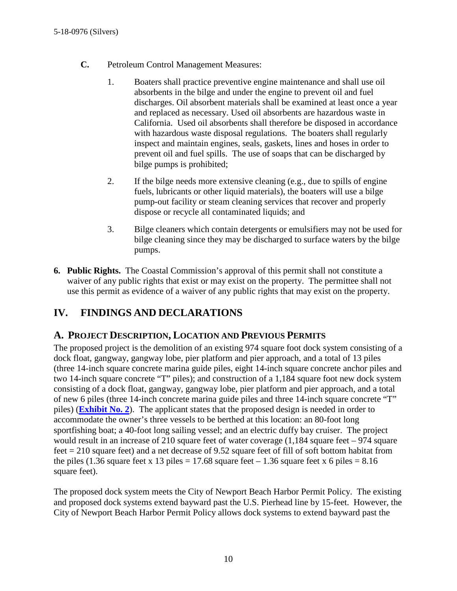- **C.** Petroleum Control Management Measures:
	- 1. Boaters shall practice preventive engine maintenance and shall use oil absorbents in the bilge and under the engine to prevent oil and fuel discharges. Oil absorbent materials shall be examined at least once a year and replaced as necessary. Used oil absorbents are hazardous waste in California. Used oil absorbents shall therefore be disposed in accordance with hazardous waste disposal regulations. The boaters shall regularly inspect and maintain engines, seals, gaskets, lines and hoses in order to prevent oil and fuel spills. The use of soaps that can be discharged by bilge pumps is prohibited;
	- 2. If the bilge needs more extensive cleaning (e.g., due to spills of engine fuels, lubricants or other liquid materials), the boaters will use a bilge pump-out facility or steam cleaning services that recover and properly dispose or recycle all contaminated liquids; and
	- 3. Bilge cleaners which contain detergents or emulsifiers may not be used for bilge cleaning since they may be discharged to surface waters by the bilge pumps.
- **6. Public Rights.** The Coastal Commission's approval of this permit shall not constitute a waiver of any public rights that exist or may exist on the property. The permittee shall not use this permit as evidence of a waiver of any public rights that may exist on the property.

## <span id="page-9-0"></span>**IV. FINDINGS AND DECLARATIONS**

## <span id="page-9-1"></span>**A. PROJECT DESCRIPTION, LOCATION AND PREVIOUS PERMITS**

The proposed project is the demolition of an existing 974 square foot dock system consisting of a dock float, gangway, gangway lobe, pier platform and pier approach, and a total of 13 piles (three 14-inch square concrete marina guide piles, eight 14-inch square concrete anchor piles and two 14-inch square concrete "T" piles); and construction of a 1,184 square foot new dock system consisting of a dock float, gangway, gangway lobe, pier platform and pier approach, and a total of new 6 piles (three 14-inch concrete marina guide piles and three 14-inch square concrete "T" piles) (**[Exhibit No. 2](https://documents.coastal.ca.gov/reports/2019/6/F11h/F11h-6-2019-exhibits.pdf)**). The applicant states that the proposed design is needed in order to accommodate the owner's three vessels to be berthed at this location: an 80-foot long sportfishing boat; a 40-foot long sailing vessel; and an electric duffy bay cruiser. The project would result in an increase of 210 square feet of water coverage (1,184 square feet – 974 square feet = 210 square feet) and a net decrease of 9.52 square feet of fill of soft bottom habitat from the piles (1.36 square feet x 13 piles = 17.68 square feet – 1.36 square feet x 6 piles =  $8.16$ square feet).

The proposed dock system meets the City of Newport Beach Harbor Permit Policy. The existing and proposed dock systems extend bayward past the U.S. Pierhead line by 15-feet. However, the City of Newport Beach Harbor Permit Policy allows dock systems to extend bayward past the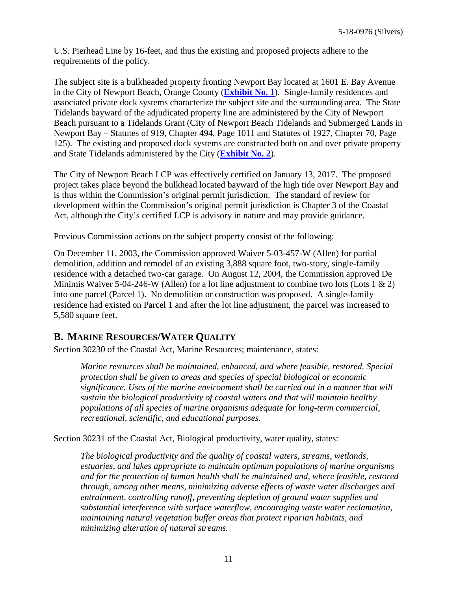U.S. Pierhead Line by 16-feet, and thus the existing and proposed projects adhere to the requirements of the policy.

The subject site is a bulkheaded property fronting Newport Bay located at 1601 E. Bay Avenue in the City of Newport Beach, Orange County (**[Exhibit No. 1](https://documents.coastal.ca.gov/reports/2019/6/F11h/F11h-6-2019-exhibits.pdf)**). Single-family residences and associated private dock systems characterize the subject site and the surrounding area. The State Tidelands bayward of the adjudicated property line are administered by the City of Newport Beach pursuant to a Tidelands Grant (City of Newport Beach Tidelands and Submerged Lands in Newport Bay – Statutes of 919, Chapter 494, Page 1011 and Statutes of 1927, Chapter 70, Page 125). The existing and proposed dock systems are constructed both on and over private property and State Tidelands administered by the City (**[Exhibit No. 2](https://documents.coastal.ca.gov/reports/2019/6/F11h/F11h-6-2019-exhibits.pdf)**).

The City of Newport Beach LCP was effectively certified on January 13, 2017. The proposed project takes place beyond the bulkhead located bayward of the high tide over Newport Bay and is thus within the Commission's original permit jurisdiction. The standard of review for development within the Commission's original permit jurisdiction is Chapter 3 of the Coastal Act, although the City's certified LCP is advisory in nature and may provide guidance.

Previous Commission actions on the subject property consist of the following:

On December 11, 2003, the Commission approved Waiver 5-03-457-W (Allen) for partial demolition, addition and remodel of an existing 3,888 square foot, two-story, single-family residence with a detached two-car garage. On August 12, 2004, the Commission approved De Minimis Waiver 5-04-246-W (Allen) for a lot line adjustment to combine two lots (Lots 1  $\&$  2) into one parcel (Parcel 1). No demolition or construction was proposed. A single-family residence had existed on Parcel 1 and after the lot line adjustment, the parcel was increased to 5,580 square feet.

### <span id="page-10-0"></span>**B. MARINE RESOURCES/WATER QUALITY**

Section 30230 of the Coastal Act, Marine Resources; maintenance, states:

*Marine resources shall be maintained, enhanced, and where feasible, restored. Special protection shall be given to areas and species of special biological or economic significance. Uses of the marine environment shall be carried out in a manner that will sustain the biological productivity of coastal waters and that will maintain healthy populations of all species of marine organisms adequate for long-term commercial, recreational, scientific, and educational purposes.*

Section 30231 of the Coastal Act, Biological productivity, water quality, states:

*The biological productivity and the quality of coastal waters, streams, wetlands, estuaries, and lakes appropriate to maintain optimum populations of marine organisms and for the protection of human health shall be maintained and, where feasible, restored through, among other means, minimizing adverse effects of waste water discharges and entrainment, controlling runoff, preventing depletion of ground water supplies and substantial interference with surface waterflow, encouraging waste water reclamation, maintaining natural vegetation buffer areas that protect riparian habitats, and minimizing alteration of natural streams.*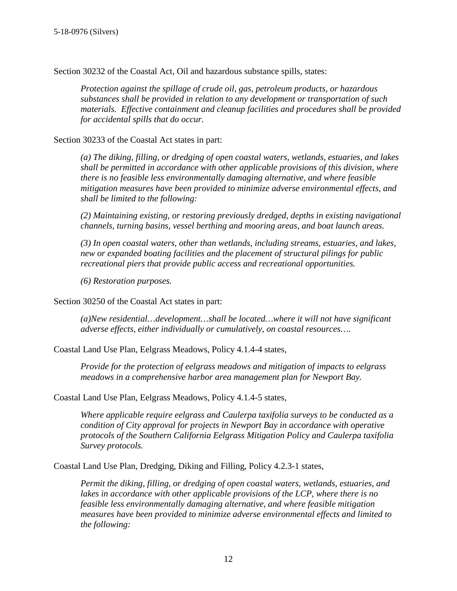Section 30232 of the Coastal Act, Oil and hazardous substance spills, states:

*Protection against the spillage of crude oil, gas, petroleum products, or hazardous substances shall be provided in relation to any development or transportation of such materials. Effective containment and cleanup facilities and procedures shall be provided for accidental spills that do occur.*

Section 30233 of the Coastal Act states in part:

*(a) The diking, filling, or dredging of open coastal waters, wetlands, estuaries, and lakes shall be permitted in accordance with other applicable provisions of this division, where there is no feasible less environmentally damaging alternative, and where feasible mitigation measures have been provided to minimize adverse environmental effects, and shall be limited to the following:*

*(2) Maintaining existing, or restoring previously dredged, depths in existing navigational channels, turning basins, vessel berthing and mooring areas, and boat launch areas.*

*(3) In open coastal waters, other than wetlands, including streams, estuaries, and lakes, new or expanded boating facilities and the placement of structural pilings for public recreational piers that provide public access and recreational opportunities.*

*(6) Restoration purposes.*

Section 30250 of the Coastal Act states in part:

*(a)New residential…development…shall be located…where it will not have significant adverse effects, either individually or cumulatively, on coastal resources….*

Coastal Land Use Plan, Eelgrass Meadows, Policy 4.1.4-4 states,

*Provide for the protection of eelgrass meadows and mitigation of impacts to eelgrass meadows in a comprehensive harbor area management plan for Newport Bay.*

Coastal Land Use Plan, Eelgrass Meadows, Policy 4.1.4-5 states,

*Where applicable require eelgrass and Caulerpa taxifolia surveys to be conducted as a condition of City approval for projects in Newport Bay in accordance with operative protocols of the Southern California Eelgrass Mitigation Policy and Caulerpa taxifolia Survey protocols.*

Coastal Land Use Plan, Dredging, Diking and Filling, Policy 4.2.3-1 states,

*Permit the diking, filling, or dredging of open coastal waters, wetlands, estuaries, and lakes in accordance with other applicable provisions of the LCP, where there is no feasible less environmentally damaging alternative, and where feasible mitigation measures have been provided to minimize adverse environmental effects and limited to the following:*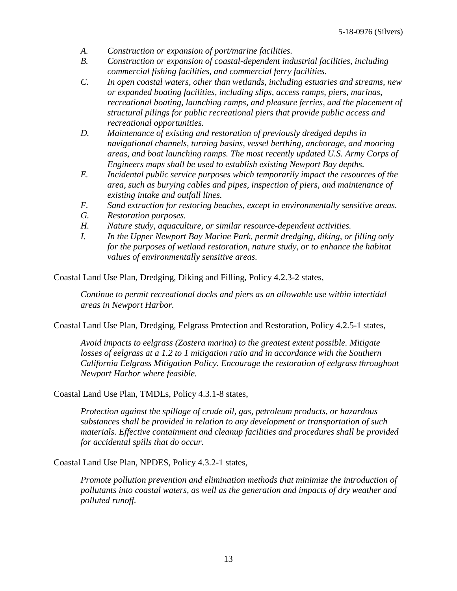- *A. Construction or expansion of port/marine facilities.*
- *B. Construction or expansion of coastal-dependent industrial facilities, including commercial fishing facilities, and commercial ferry facilities*.
- *C. In open coastal waters, other than wetlands, including estuaries and streams, new or expanded boating facilities, including slips, access ramps, piers, marinas, recreational boating, launching ramps, and pleasure ferries, and the placement of structural pilings for public recreational piers that provide public access and recreational opportunities.*
- *D. Maintenance of existing and restoration of previously dredged depths in navigational channels, turning basins, vessel berthing, anchorage, and mooring areas, and boat launching ramps. The most recently updated U.S. Army Corps of Engineers maps shall be used to establish existing Newport Bay depths.*
- *E. Incidental public service purposes which temporarily impact the resources of the area, such as burying cables and pipes, inspection of piers, and maintenance of existing intake and outfall lines.*
- *F. Sand extraction for restoring beaches, except in environmentally sensitive areas.*
- *G. Restoration purposes.*
- *H. Nature study, aquaculture, or similar resource-dependent activities.*
- *I. In the Upper Newport Bay Marine Park, permit dredging, diking, or filling only for the purposes of wetland restoration, nature study, or to enhance the habitat values of environmentally sensitive areas.*

Coastal Land Use Plan, Dredging, Diking and Filling, Policy 4.2.3-2 states,

*Continue to permit recreational docks and piers as an allowable use within intertidal areas in Newport Harbor.*

Coastal Land Use Plan, Dredging, Eelgrass Protection and Restoration, Policy 4.2.5-1 states,

*Avoid impacts to eelgrass (Zostera marina) to the greatest extent possible. Mitigate*  losses of eelgrass at a 1.2 to 1 mitigation ratio and in accordance with the Southern *California Eelgrass Mitigation Policy. Encourage the restoration of eelgrass throughout Newport Harbor where feasible.*

Coastal Land Use Plan, TMDLs, Policy 4.3.1-8 states,

*Protection against the spillage of crude oil, gas, petroleum products, or hazardous substances shall be provided in relation to any development or transportation of such materials. Effective containment and cleanup facilities and procedures shall be provided for accidental spills that do occur.*

Coastal Land Use Plan, NPDES, Policy 4.3.2-1 states,

*Promote pollution prevention and elimination methods that minimize the introduction of pollutants into coastal waters, as well as the generation and impacts of dry weather and polluted runoff.*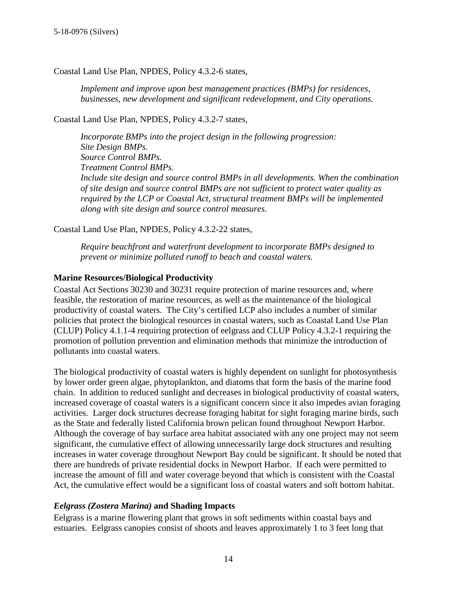Coastal Land Use Plan, NPDES, Policy 4.3.2-6 states,

*Implement and improve upon best management practices (BMPs) for residences, businesses, new development and significant redevelopment, and City operations.*

Coastal Land Use Plan, NPDES, Policy 4.3.2-7 states,

*Incorporate BMPs into the project design in the following progression: Site Design BMPs. Source Control BMPs. Treatment Control BMPs. Include site design and source control BMPs in all developments. When the combination of site design and source control BMPs are not sufficient to protect water quality as required by the LCP or Coastal Act, structural treatment BMPs will be implemented along with site design and source control measures.*

Coastal Land Use Plan, NPDES, Policy 4.3.2-22 states,

*Require beachfront and waterfront development to incorporate BMPs designed to prevent or minimize polluted runoff to beach and coastal waters.*

#### **Marine Resources/Biological Productivity**

Coastal Act Sections 30230 and 30231 require protection of marine resources and, where feasible, the restoration of marine resources, as well as the maintenance of the biological productivity of coastal waters. The City's certified LCP also includes a number of similar policies that protect the biological resources in coastal waters, such as Coastal Land Use Plan (CLUP) Policy 4.1.1-4 requiring protection of eelgrass and CLUP Policy 4.3.2-1 requiring the promotion of pollution prevention and elimination methods that minimize the introduction of pollutants into coastal waters.

The biological productivity of coastal waters is highly dependent on sunlight for photosynthesis by lower order green algae, phytoplankton, and diatoms that form the basis of the marine food chain. In addition to reduced sunlight and decreases in biological productivity of coastal waters, increased coverage of coastal waters is a significant concern since it also impedes avian foraging activities. Larger dock structures decrease foraging habitat for sight foraging marine birds, such as the State and federally listed California brown pelican found throughout Newport Harbor. Although the coverage of bay surface area habitat associated with any one project may not seem significant, the cumulative effect of allowing unnecessarily large dock structures and resulting increases in water coverage throughout Newport Bay could be significant. It should be noted that there are hundreds of private residential docks in Newport Harbor. If each were permitted to increase the amount of fill and water coverage beyond that which is consistent with the Coastal Act, the cumulative effect would be a significant loss of coastal waters and soft bottom habitat.

#### *Eelgrass (Zostera Marina)* **and Shading Impacts**

Eelgrass is a marine flowering plant that grows in soft sediments within coastal bays and estuaries. Eelgrass canopies consist of shoots and leaves approximately 1 to 3 feet long that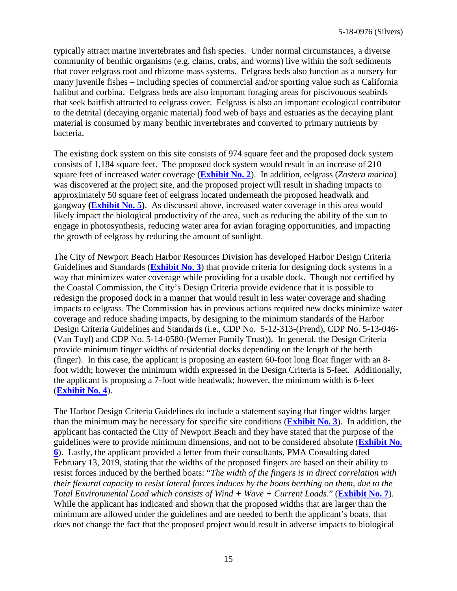typically attract marine invertebrates and fish species. Under normal circumstances, a diverse community of benthic organisms (e.g. clams, crabs, and worms) live within the soft sediments that cover eelgrass root and rhizome mass systems. Eelgrass beds also function as a nursery for many juvenile fishes – including species of commercial and/or sporting value such as California halibut and corbina. Eelgrass beds are also important foraging areas for piscivouous seabirds that seek baitfish attracted to eelgrass cover. Eelgrass is also an important ecological contributor to the detrital (decaying organic material) food web of bays and estuaries as the decaying plant material is consumed by many benthic invertebrates and converted to primary nutrients by bacteria.

The existing dock system on this site consists of 974 square feet and the proposed dock system consists of 1,184 square feet. The proposed dock system would result in an increase of 210 square feet of increased water coverage (**[Exhibit No. 2](https://documents.coastal.ca.gov/reports/2019/6/F11h/F11h-6-2019-exhibits.pdf)**). In addition, eelgrass (*Zostera marina*) was discovered at the project site, and the proposed project will result in shading impacts to approximately 50 square feet of eelgrass located underneath the proposed headwalk and gangway **[\(Exhibit No. 5\)](https://documents.coastal.ca.gov/reports/2019/6/F11h/F11h-6-2019-exhibits.pdf)**. As discussed above, increased water coverage in this area would likely impact the biological productivity of the area, such as reducing the ability of the sun to engage in photosynthesis, reducing water area for avian foraging opportunities, and impacting the growth of eelgrass by reducing the amount of sunlight.

The City of Newport Beach Harbor Resources Division has developed Harbor Design Criteria Guidelines and Standards (**[Exhibit No. 3](https://documents.coastal.ca.gov/reports/2019/6/F11h/F11h-6-2019-exhibits.pdf)**) that provide criteria for designing dock systems in a way that minimizes water coverage while providing for a usable dock. Though not certified by the Coastal Commission, the City's Design Criteria provide evidence that it is possible to redesign the proposed dock in a manner that would result in less water coverage and shading impacts to eelgrass. The Commission has in previous actions required new docks minimize water coverage and reduce shading impacts, by designing to the minimum standards of the Harbor Design Criteria Guidelines and Standards (i.e., CDP No. 5-12-313-(Prend), CDP No. 5-13-046- (Van Tuyl) and CDP No. 5-14-0580-(Werner Family Trust)). In general, the Design Criteria provide minimum finger widths of residential docks depending on the length of the berth (finger). In this case, the applicant is proposing an eastern 60-foot long float finger with an 8 foot width; however the minimum width expressed in the Design Criteria is 5-feet. Additionally, the applicant is proposing a 7-foot wide headwalk; however, the minimum width is 6-feet (**[Exhibit No. 4](https://documents.coastal.ca.gov/reports/2019/6/F11h/F11h-6-2019-exhibits.pdf)**).

The Harbor Design Criteria Guidelines do include a statement saying that finger widths larger than the minimum may be necessary for specific site conditions (**[Exhibit No.](https://documents.coastal.ca.gov/reports/2019/6/F11h/F11h-6-2019-exhibits.pdf) 3**). In addition, the applicant has contacted the City of Newport Beach and they have stated that the purpose of the guidelines were to provide minimum dimensions, and not to be considered absolute (**[Exhibit No.](https://documents.coastal.ca.gov/reports/2019/6/F11h/F11h-6-2019-exhibits.pdf)  [6](https://documents.coastal.ca.gov/reports/2019/6/F11h/F11h-6-2019-exhibits.pdf)**). Lastly, the applicant provided a letter from their consultants, PMA Consulting dated February 13, 2019, stating that the widths of the proposed fingers are based on their ability to resist forces induced by the berthed boats: "*The width of the fingers is in direct correlation with their flexural capacity to resist lateral forces induces by the boats berthing on them, due to the Total Environmental Load which consists of Wind + Wave + Current Loads*." (**[Exhibit No. 7](https://documents.coastal.ca.gov/reports/2019/6/F11h/F11h-6-2019-exhibits.pdf)**). While the applicant has indicated and shown that the proposed widths that are larger than the minimum are allowed under the guidelines and are needed to berth the applicant's boats, that does not change the fact that the proposed project would result in adverse impacts to biological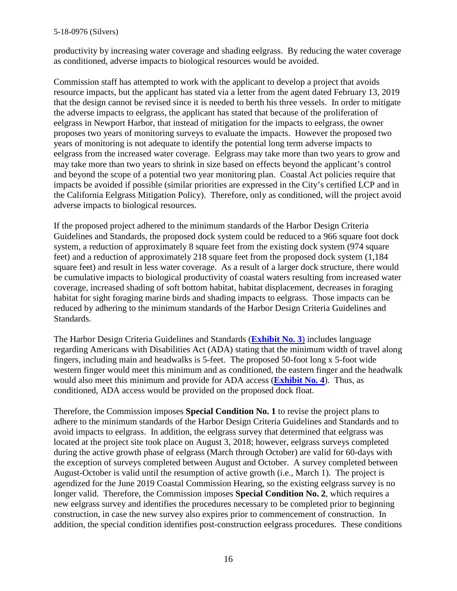#### 5-18-0976 (Silvers)

productivity by increasing water coverage and shading eelgrass. By reducing the water coverage as conditioned, adverse impacts to biological resources would be avoided.

Commission staff has attempted to work with the applicant to develop a project that avoids resource impacts, but the applicant has stated via a letter from the agent dated February 13, 2019 that the design cannot be revised since it is needed to berth his three vessels. In order to mitigate the adverse impacts to eelgrass, the applicant has stated that because of the proliferation of eelgrass in Newport Harbor, that instead of mitigation for the impacts to eelgrass, the owner proposes two years of monitoring surveys to evaluate the impacts. However the proposed two years of monitoring is not adequate to identify the potential long term adverse impacts to eelgrass from the increased water coverage. Eelgrass may take more than two years to grow and may take more than two years to shrink in size based on effects beyond the applicant's control and beyond the scope of a potential two year monitoring plan. Coastal Act policies require that impacts be avoided if possible (similar priorities are expressed in the City's certified LCP and in the California Eelgrass Mitigation Policy). Therefore, only as conditioned, will the project avoid adverse impacts to biological resources.

If the proposed project adhered to the minimum standards of the Harbor Design Criteria Guidelines and Standards, the proposed dock system could be reduced to a 966 square foot dock system, a reduction of approximately 8 square feet from the existing dock system (974 square feet) and a reduction of approximately 218 square feet from the proposed dock system (1,184 square feet) and result in less water coverage. As a result of a larger dock structure, there would be cumulative impacts to biological productivity of coastal waters resulting from increased water coverage, increased shading of soft bottom habitat, habitat displacement, decreases in foraging habitat for sight foraging marine birds and shading impacts to eelgrass. Those impacts can be reduced by adhering to the minimum standards of the Harbor Design Criteria Guidelines and Standards.

The Harbor Design Criteria Guidelines and Standards (**[Exhibit No. 3](https://documents.coastal.ca.gov/reports/2019/6/F11h/F11h-6-2019-exhibits.pdf)**) includes language regarding Americans with Disabilities Act (ADA) stating that the minimum width of travel along fingers, including main and headwalks is 5-feet. The proposed 50-foot long x 5-foot wide western finger would meet this minimum and as conditioned, the eastern finger and the headwalk would also meet this minimum and provide for ADA access (**[Exhibit No. 4](https://documents.coastal.ca.gov/reports/2019/6/F11h/F11h-6-2019-exhibits.pdf)**). Thus, as conditioned, ADA access would be provided on the proposed dock float.

Therefore, the Commission imposes **Special Condition No. 1** to revise the project plans to adhere to the minimum standards of the Harbor Design Criteria Guidelines and Standards and to avoid impacts to eelgrass. In addition, the eelgrass survey that determined that eelgrass was located at the project site took place on August 3, 2018; however, eelgrass surveys completed during the active growth phase of eelgrass (March through October) are valid for 60-days with the exception of surveys completed between August and October. A survey completed between August-October is valid until the resumption of active growth (i.e., March 1). The project is agendized for the June 2019 Coastal Commission Hearing, so the existing eelgrass survey is no longer valid. Therefore, the Commission imposes **Special Condition No. 2**, which requires a new eelgrass survey and identifies the procedures necessary to be completed prior to beginning construction, in case the new survey also expires prior to commencement of construction. In addition, the special condition identifies post-construction eelgrass procedures. These conditions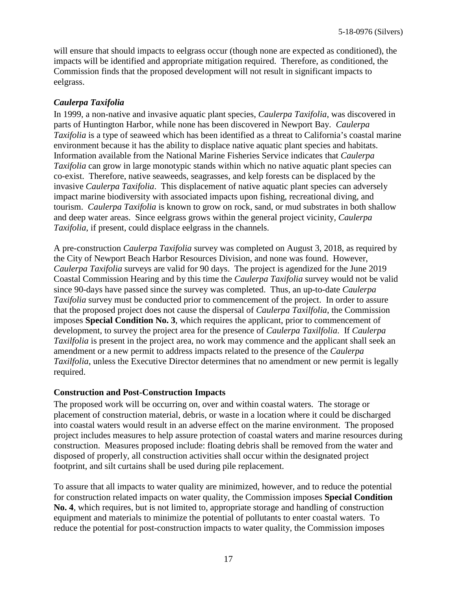will ensure that should impacts to eelgrass occur (though none are expected as conditioned), the impacts will be identified and appropriate mitigation required. Therefore, as conditioned, the Commission finds that the proposed development will not result in significant impacts to eelgrass.

#### *Caulerpa Taxifolia*

In 1999, a non-native and invasive aquatic plant species, *Caulerpa Taxifolia*, was discovered in parts of Huntington Harbor, while none has been discovered in Newport Bay. *Caulerpa Taxifolia* is a type of seaweed which has been identified as a threat to California's coastal marine environment because it has the ability to displace native aquatic plant species and habitats. Information available from the National Marine Fisheries Service indicates that *Caulerpa Taxifolia* can grow in large monotypic stands within which no native aquatic plant species can co-exist. Therefore, native seaweeds, seagrasses, and kelp forests can be displaced by the invasive *Caulerpa Taxifolia*. This displacement of native aquatic plant species can adversely impact marine biodiversity with associated impacts upon fishing, recreational diving, and tourism. *Caulerpa Taxifolia* is known to grow on rock, sand, or mud substrates in both shallow and deep water areas. Since eelgrass grows within the general project vicinity, *Caulerpa Taxifolia*, if present, could displace eelgrass in the channels.

A pre-construction *Caulerpa Taxifolia* survey was completed on August 3, 2018, as required by the City of Newport Beach Harbor Resources Division, and none was found. However, *Caulerpa Taxifolia* surveys are valid for 90 days. The project is agendized for the June 2019 Coastal Commission Hearing and by this time the *Caulerpa Taxifolia* survey would not be valid since 90-days have passed since the survey was completed. Thus, an up-to-date *Caulerpa Taxifolia* survey must be conducted prior to commencement of the project. In order to assure that the proposed project does not cause the dispersal of *Caulerpa Taxilfolia*, the Commission imposes **Special Condition No. 3**, which requires the applicant, prior to commencement of development, to survey the project area for the presence of *Caulerpa Taxilfolia*. If *Caulerpa Taxilfolia* is present in the project area, no work may commence and the applicant shall seek an amendment or a new permit to address impacts related to the presence of the *Caulerpa Taxilfolia*, unless the Executive Director determines that no amendment or new permit is legally required.

#### **Construction and Post-Construction Impacts**

The proposed work will be occurring on, over and within coastal waters. The storage or placement of construction material, debris, or waste in a location where it could be discharged into coastal waters would result in an adverse effect on the marine environment. The proposed project includes measures to help assure protection of coastal waters and marine resources during construction. Measures proposed include: floating debris shall be removed from the water and disposed of properly, all construction activities shall occur within the designated project footprint, and silt curtains shall be used during pile replacement.

To assure that all impacts to water quality are minimized, however, and to reduce the potential for construction related impacts on water quality, the Commission imposes **Special Condition No. 4**, which requires, but is not limited to, appropriate storage and handling of construction equipment and materials to minimize the potential of pollutants to enter coastal waters. To reduce the potential for post-construction impacts to water quality, the Commission imposes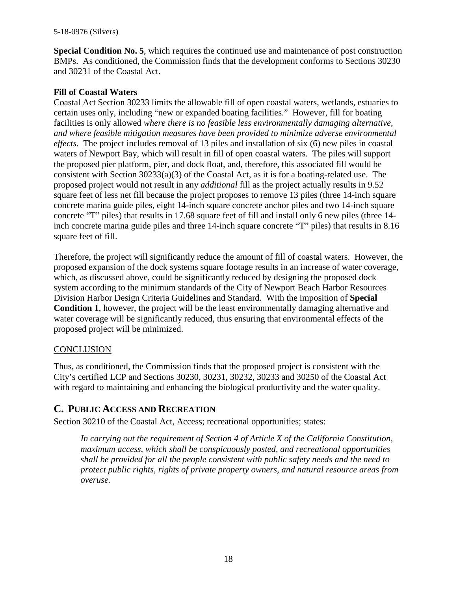**Special Condition No. 5**, which requires the continued use and maintenance of post construction BMPs. As conditioned, the Commission finds that the development conforms to Sections 30230 and 30231 of the Coastal Act.

#### **Fill of Coastal Waters**

Coastal Act Section 30233 limits the allowable fill of open coastal waters, wetlands, estuaries to certain uses only, including "new or expanded boating facilities." However, fill for boating facilities is only allowed *where there is no feasible less environmentally damaging alternative, and where feasible mitigation measures have been provided to minimize adverse environmental effects.* The project includes removal of 13 piles and installation of six (6) new piles in coastal waters of Newport Bay, which will result in fill of open coastal waters. The piles will support the proposed pier platform, pier, and dock float, and, therefore, this associated fill would be consistent with Section 30233(a)(3) of the Coastal Act, as it is for a boating-related use. The proposed project would not result in any *additional* fill as the project actually results in 9.52 square feet of less net fill because the project proposes to remove 13 piles (three 14-inch square concrete marina guide piles, eight 14-inch square concrete anchor piles and two 14-inch square concrete "T" piles) that results in 17.68 square feet of fill and install only 6 new piles (three 14 inch concrete marina guide piles and three 14-inch square concrete "T" piles) that results in 8.16 square feet of fill.

Therefore, the project will significantly reduce the amount of fill of coastal waters. However, the proposed expansion of the dock systems square footage results in an increase of water coverage, which, as discussed above, could be significantly reduced by designing the proposed dock system according to the minimum standards of the City of Newport Beach Harbor Resources Division Harbor Design Criteria Guidelines and Standard. With the imposition of **Special Condition 1**, however, the project will be the least environmentally damaging alternative and water coverage will be significantly reduced, thus ensuring that environmental effects of the proposed project will be minimized.

#### **CONCLUSION**

Thus, as conditioned, the Commission finds that the proposed project is consistent with the City's certified LCP and Sections 30230, 30231, 30232, 30233 and 30250 of the Coastal Act with regard to maintaining and enhancing the biological productivity and the water quality.

## <span id="page-17-0"></span>**C. PUBLIC ACCESS AND RECREATION**

Section 30210 of the Coastal Act, Access; recreational opportunities; states:

*In carrying out the requirement of Section 4 of Article X of the California Constitution, maximum access, which shall be conspicuously posted, and recreational opportunities shall be provided for all the people consistent with public safety needs and the need to protect public rights, rights of private property owners, and natural resource areas from overuse.*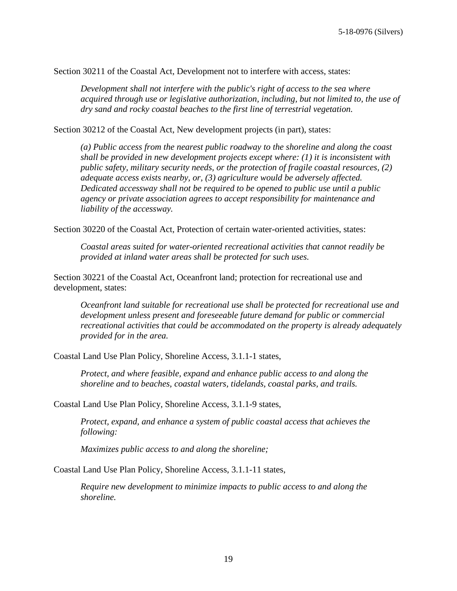Section 30211 of the Coastal Act, Development not to interfere with access, states:

*Development shall not interfere with the public's right of access to the sea where acquired through use or legislative authorization, including, but not limited to, the use of dry sand and rocky coastal beaches to the first line of terrestrial vegetation.* 

Section 30212 of the Coastal Act, New development projects (in part), states:

*(a) Public access from the nearest public roadway to the shoreline and along the coast shall be provided in new development projects except where: (1) it is inconsistent with public safety, military security needs, or the protection of fragile coastal resources, (2) adequate access exists nearby, or, (3) agriculture would be adversely affected. Dedicated accessway shall not be required to be opened to public use until a public agency or private association agrees to accept responsibility for maintenance and liability of the accessway.*

Section 30220 of the Coastal Act, Protection of certain water-oriented activities, states:

*Coastal areas suited for water-oriented recreational activities that cannot readily be provided at inland water areas shall be protected for such uses.*

Section 30221 of the Coastal Act, Oceanfront land; protection for recreational use and development, states:

*Oceanfront land suitable for recreational use shall be protected for recreational use and development unless present and foreseeable future demand for public or commercial recreational activities that could be accommodated on the property is already adequately provided for in the area.*

Coastal Land Use Plan Policy, Shoreline Access, 3.1.1-1 states,

*Protect, and where feasible, expand and enhance public access to and along the shoreline and to beaches, coastal waters, tidelands, coastal parks, and trails.*

Coastal Land Use Plan Policy, Shoreline Access, 3.1.1-9 states,

*Protect, expand, and enhance a system of public coastal access that achieves the following:*

*Maximizes public access to and along the shoreline;*

Coastal Land Use Plan Policy, Shoreline Access, 3.1.1-11 states,

*Require new development to minimize impacts to public access to and along the shoreline.*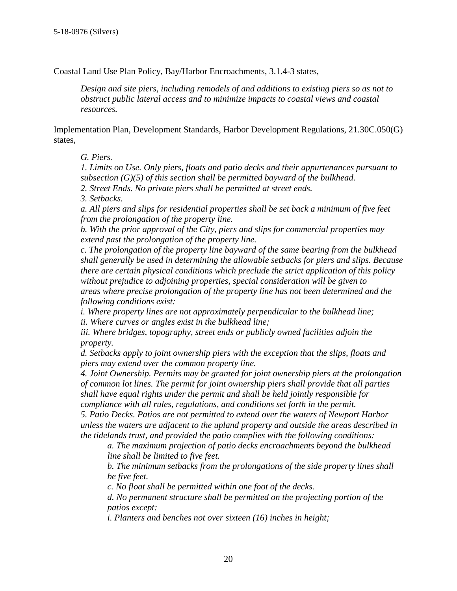Coastal Land Use Plan Policy, Bay/Harbor Encroachments, 3.1.4-3 states,

*Design and site piers, including remodels of and additions to existing piers so as not to obstruct public lateral access and to minimize impacts to coastal views and coastal resources.*

Implementation Plan, Development Standards, Harbor Development Regulations, 21.30C.050(G) states,

*G. Piers.*

*1. Limits on Use. Only piers, floats and patio decks and their appurtenances pursuant to subsection (G)(5) of this section shall be permitted bayward of the bulkhead. 2. Street Ends. No private piers shall be permitted at street ends.*

*3. Setbacks.*

*a. All piers and slips for residential properties shall be set back a minimum of five feet from the prolongation of the property line.*

*b. With the prior approval of the City, piers and slips for commercial properties may extend past the prolongation of the property line.*

*c. The prolongation of the property line bayward of the same bearing from the bulkhead shall generally be used in determining the allowable setbacks for piers and slips. Because there are certain physical conditions which preclude the strict application of this policy without prejudice to adjoining properties, special consideration will be given to areas where precise prolongation of the property line has not been determined and the following conditions exist:*

*i. Where property lines are not approximately perpendicular to the bulkhead line; ii. Where curves or angles exist in the bulkhead line;*

iii. Where bridges, topography, street ends or publicly owned facilities adjoin the *property.*

*d. Setbacks apply to joint ownership piers with the exception that the slips, floats and piers may extend over the common property line.*

*4. Joint Ownership. Permits may be granted for joint ownership piers at the prolongation of common lot lines. The permit for joint ownership piers shall provide that all parties shall have equal rights under the permit and shall be held jointly responsible for compliance with all rules, regulations, and conditions set forth in the permit.*

*5. Patio Decks. Patios are not permitted to extend over the waters of Newport Harbor unless the waters are adjacent to the upland property and outside the areas described in the tidelands trust, and provided the patio complies with the following conditions:*

*a. The maximum projection of patio decks encroachments beyond the bulkhead line shall be limited to five feet.*

*b. The minimum setbacks from the prolongations of the side property lines shall be five feet.*

*c. No float shall be permitted within one foot of the decks.*

*d. No permanent structure shall be permitted on the projecting portion of the patios except:*

*i. Planters and benches not over sixteen (16) inches in height;*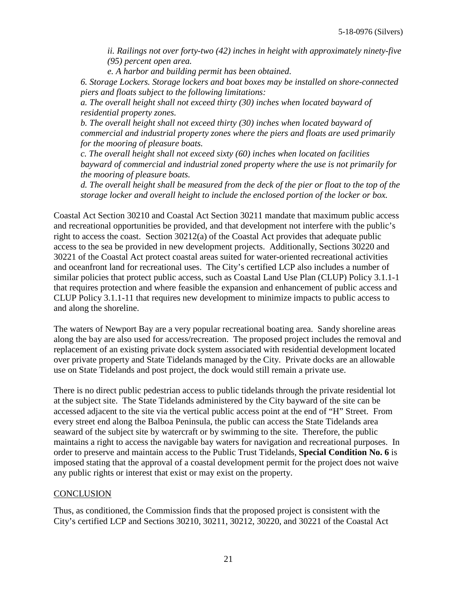*ii. Railings not over forty-two (42) inches in height with approximately ninety-five (95) percent open area.*

*e. A harbor and building permit has been obtained.*

*6. Storage Lockers. Storage lockers and boat boxes may be installed on shore-connected piers and floats subject to the following limitations:*

*a. The overall height shall not exceed thirty (30) inches when located bayward of residential property zones.*

*b. The overall height shall not exceed thirty (30) inches when located bayward of commercial and industrial property zones where the piers and floats are used primarily for the mooring of pleasure boats.*

*c. The overall height shall not exceed sixty (60) inches when located on facilities bayward of commercial and industrial zoned property where the use is not primarily for the mooring of pleasure boats.*

*d. The overall height shall be measured from the deck of the pier or float to the top of the storage locker and overall height to include the enclosed portion of the locker or box.*

Coastal Act Section 30210 and Coastal Act Section 30211 mandate that maximum public access and recreational opportunities be provided, and that development not interfere with the public's right to access the coast. Section 30212(a) of the Coastal Act provides that adequate public access to the sea be provided in new development projects. Additionally, Sections 30220 and 30221 of the Coastal Act protect coastal areas suited for water-oriented recreational activities and oceanfront land for recreational uses. The City's certified LCP also includes a number of similar policies that protect public access, such as Coastal Land Use Plan (CLUP) Policy 3.1.1-1 that requires protection and where feasible the expansion and enhancement of public access and CLUP Policy 3.1.1-11 that requires new development to minimize impacts to public access to and along the shoreline.

The waters of Newport Bay are a very popular recreational boating area. Sandy shoreline areas along the bay are also used for access/recreation. The proposed project includes the removal and replacement of an existing private dock system associated with residential development located over private property and State Tidelands managed by the City. Private docks are an allowable use on State Tidelands and post project, the dock would still remain a private use.

There is no direct public pedestrian access to public tidelands through the private residential lot at the subject site. The State Tidelands administered by the City bayward of the site can be accessed adjacent to the site via the vertical public access point at the end of "H" Street. From every street end along the Balboa Peninsula, the public can access the State Tidelands area seaward of the subject site by watercraft or by swimming to the site. Therefore, the public maintains a right to access the navigable bay waters for navigation and recreational purposes. In order to preserve and maintain access to the Public Trust Tidelands, **Special Condition No. 6** is imposed stating that the approval of a coastal development permit for the project does not waive any public rights or interest that exist or may exist on the property.

#### **CONCLUSION**

Thus, as conditioned, the Commission finds that the proposed project is consistent with the City's certified LCP and Sections 30210, 30211, 30212, 30220, and 30221 of the Coastal Act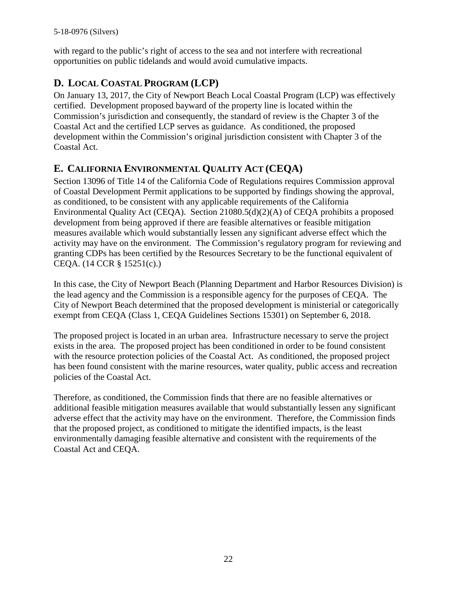with regard to the public's right of access to the sea and not interfere with recreational opportunities on public tidelands and would avoid cumulative impacts.

# <span id="page-21-0"></span>**D. LOCAL COASTAL PROGRAM (LCP)**

On January 13, 2017, the City of Newport Beach Local Coastal Program (LCP) was effectively certified. Development proposed bayward of the property line is located within the Commission's jurisdiction and consequently, the standard of review is the Chapter 3 of the Coastal Act and the certified LCP serves as guidance. As conditioned, the proposed development within the Commission's original jurisdiction consistent with Chapter 3 of the Coastal Act.

## <span id="page-21-1"></span>**E. CALIFORNIA ENVIRONMENTAL QUALITY ACT (CEQA)**

Section 13096 of Title 14 of the California Code of Regulations requires Commission approval of Coastal Development Permit applications to be supported by findings showing the approval, as conditioned, to be consistent with any applicable requirements of the California Environmental Quality Act (CEQA). Section 21080.5(d)(2)(A) of CEQA prohibits a proposed development from being approved if there are feasible alternatives or feasible mitigation measures available which would substantially lessen any significant adverse effect which the activity may have on the environment. The Commission's regulatory program for reviewing and granting CDPs has been certified by the Resources Secretary to be the functional equivalent of CEQA. (14 CCR § 15251(c).)

In this case, the City of Newport Beach (Planning Department and Harbor Resources Division) is the lead agency and the Commission is a responsible agency for the purposes of CEQA. The City of Newport Beach determined that the proposed development is ministerial or categorically exempt from CEQA (Class 1, CEQA Guidelines Sections 15301) on September 6, 2018.

The proposed project is located in an urban area. Infrastructure necessary to serve the project exists in the area. The proposed project has been conditioned in order to be found consistent with the resource protection policies of the Coastal Act. As conditioned, the proposed project has been found consistent with the marine resources, water quality, public access and recreation policies of the Coastal Act.

Therefore, as conditioned, the Commission finds that there are no feasible alternatives or additional feasible mitigation measures available that would substantially lessen any significant adverse effect that the activity may have on the environment. Therefore, the Commission finds that the proposed project, as conditioned to mitigate the identified impacts, is the least environmentally damaging feasible alternative and consistent with the requirements of the Coastal Act and CEQA.